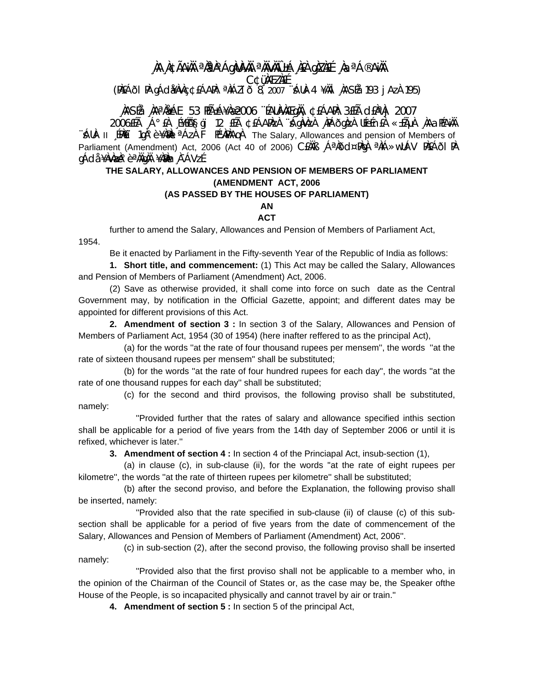### ÀA À¢ÃAÌÀ ªÀªÀ°ÁgÀIÀ¼ÀÄ ªÀÏvÀÏÛ±Á ÀEÀ gÀZÀEÉ ÀaªÁ®AÌÀÄ **C¢üMEZNEE**

(PAEÁÕI PA gÁdi¥AvAç ¢EÁAPA: <sup>a</sup>AiÁZi ð 8, 2007 "sáua-4 ¥Aäi "AASÉa 193 j Aza 195)

## .)ASÉå ,)AªÅåÁE 53 HñÁ¥Åæ2006 ¨ÉAUÀVÀÆqÙÄ, ¢£ÁAPÀ: 3£Éà cI£ÀªÀj 2007

2006EÉà Á°EÀ É¥ÉÄSgi 12 EÉà ¢EÁAPÀZÀ "ÁgÀvÀzÀ 'ÀPÁÕgÀzÀ UÉeÉnEÀ «±ÃµÀ 'ÀAƏPÉAÌÀÄ ¨Allλ- Ⅱ [PNEï 1qλ°è ¥λMal ªÁzλ 下 PɼAAQA The Salary. Allowances and pension of Members of Parliament (Amendment) Act, 2006 (Act 40 of 2006) CEAAB A<sup>a</sup>Add¤PAgA <sup>a</sup>AA>wUAV PAEAdT PA gÁdå ¥ÀvÀæÀ°èªÀÄgÀÄ ¥ÀæÀn À¯ÁVzÉ.

#### THE SALARY, ALLOWANCES AND PENSION OF MEMBERS OF PARLIAMENT (AMENDMENT ACT, 2006 (AS PASSED BY THE HOUSES OF PARLIAMENT)

# **AN**

## **ACT**

further to amend the Salary, Allowances and Pension of Members of Parliament Act, 1954.

Be it enacted by Parliament in the Fifty-seventh Year of the Republic of India as follows:

1. Short title, and commencement: (1) This Act may be called the Salary, Allowances and Pension of Members of Parliament (Amendment) Act, 2006.

(2) Save as otherwise provided, it shall come into force on such date as the Central Government may, by notification in the Official Gazette, appoint; and different dates may be appointed for different provisions of this Act.

2. Amendment of section 3 : In section 3 of the Salary, Allowances and Pension of Members of Parliament Act, 1954 (30 of 1954) (here inafter reffered to as the principal Act),

(a) for the words "at the rate of four thousand rupees per mensem", the words "at the rate of sixteen thousand rupees per mensem" shall be substituted;

(b) for the words "at the rate of four hundred rupees for each day", the words "at the rate of one thousand ruppes for each day" shall be substituted;

(c) for the second and third provisos, the following proviso shall be substituted, namely:

"Provided further that the rates of salary and allowance specified inthis section shall be applicable for a period of five years from the 14th day of September 2006 or until it is refixed, whichever is later."

**3. Amendment of section 4 :** In section 4 of the Princiapal Act, insub-section (1),

(a) in clause (c), in sub-clause (ii), for the words "at the rate of eight rupees per kilometre", the words "at the rate of thirteen rupees per kilometre" shall be substituted;

(b) after the second proviso, and before the Explanation, the following proviso shall be inserted, namely:

"Provided also that the rate specified in sub-clause (ii) of clause (c) of this subsection shall be applicable for a period of five years from the date of commencement of the Salary, Allowances and Pension of Members of Parliament (Amendment) Act, 2006".

(c) in sub-section (2), after the second proviso, the following proviso shall be inserted namely:

"Provided also that the first proviso shall not be applicable to a member who, in the opinion of the Chairman of the Council of States or, as the case may be, the Speaker ofthe House of the People, is so incapacited physically and cannot travel by air or train."

4. Amendment of section 5 : In section 5 of the principal Act,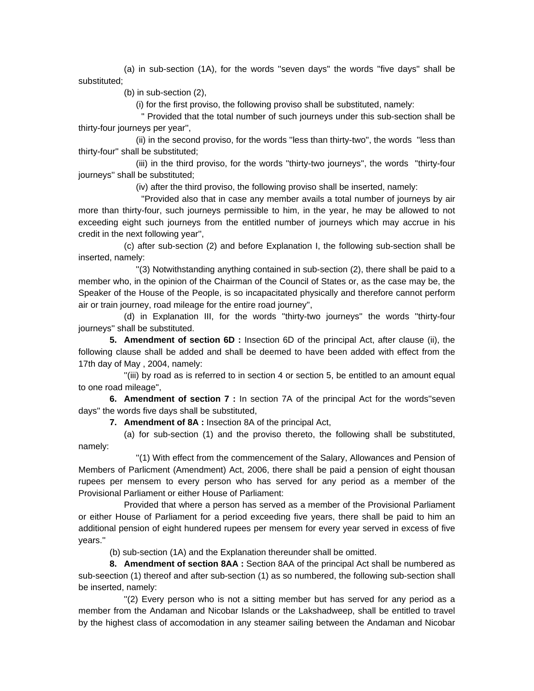(a) in sub-section (1A), for the words ''seven days'' the words ''five days'' shall be substituted;

(b) in sub-section (2),

(i) for the first proviso, the following proviso shall be substituted, namely:

 '' Provided that the total number of such journeys under this sub-section shall be thirty-four journeys per year'',

 (ii) in the second proviso, for the words ''less than thirty-two'', the words ''less than thirty-four'' shall be substituted;

 (iii) in the third proviso, for the words ''thirty-two journeys'', the words ''thirty-four journeys'' shall be substituted;

(iv) after the third proviso, the following proviso shall be inserted, namely:

 ''Provided also that in case any member avails a total number of journeys by air more than thirty-four, such journeys permissible to him, in the year, he may be allowed to not exceeding eight such journeys from the entitled number of journeys which may accrue in his credit in the next following year'',

 (c) after sub-section (2) and before Explanation I, the following sub-section shall be inserted, namely:

 ''(3) Notwithstanding anything contained in sub-section (2), there shall be paid to a member who, in the opinion of the Chairman of the Council of States or, as the case may be, the Speaker of the House of the People, is so incapacitated physically and therefore cannot perform air or train journey, road mileage for the entire road journey'',

 (d) in Explanation III, for the words ''thirty-two journeys'' the words ''thirty-four journeys'' shall be substituted.

**5. Amendment of section 6D :** Insection 6D of the principal Act, after clause (ii), the following clause shall be added and shall be deemed to have been added with effect from the 17th day of May , 2004, namely:

 ''(iii) by road as is referred to in section 4 or section 5, be entitled to an amount equal to one road mileage'',

**6. Amendment of section 7 :** In section 7A of the principal Act for the words"seven days'' the words five days shall be substituted,

**7. Amendment of 8A :** Insection 8A of the principal Act,

 (a) for sub-section (1) and the proviso thereto, the following shall be substituted, namely:

 ''(1) With effect from the commencement of the Salary, Allowances and Pension of Members of Parlicment (Amendment) Act, 2006, there shall be paid a pension of eight thousan rupees per mensem to every person who has served for any period as a member of the Provisional Parliament or either House of Parliament:

 Provided that where a person has served as a member of the Provisional Parliament or either House of Parliament for a period exceeding five years, there shall be paid to him an additional pension of eight hundered rupees per mensem for every year served in excess of five years.''

(b) sub-section (1A) and the Explanation thereunder shall be omitted.

**8. Amendment of section 8AA :** Section 8AA of the principal Act shall be numbered as sub-seection (1) thereof and after sub-section (1) as so numbered, the following sub-section shall be inserted, namely:

 ''(2) Every person who is not a sitting member but has served for any period as a member from the Andaman and Nicobar Islands or the Lakshadweep, shall be entitled to travel by the highest class of accomodation in any steamer sailing between the Andaman and Nicobar